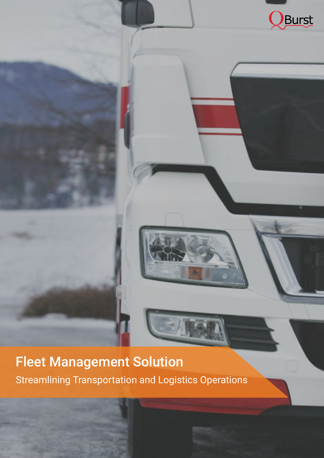

# Fleet Management Solution

# Streamlining Transportation and Logistics Operations

![](_page_0_Picture_3.jpeg)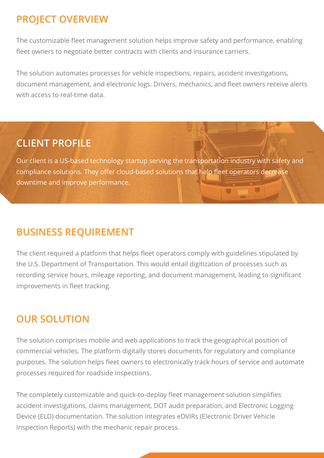The customizable fleet management solution helps improve safety and performance, enabling fleet owners to negotiate better contracts with clients and insurance carriers.

The solution automates processes for vehicle inspections, repairs, accident investigations, document management, and electronic logs. Drivers, mechanics, and fleet owners receive alerts with access to real-time data.

# **PROJECT OVERVIEW**

Our client is a US-based technology startup serving the transportation industry with safety and compliance solutions. They offer cloud-based solutions that help fleet operators decrease downtime and improve performance.

## **CLIENT PROFILE**

The client required a platform that helps fleet operators comply with guidelines stipulated by the U.S. Department of Transportation. This would entail digitization of processes such as recording service hours, mileage reporting, and document management, leading to significant improvements in fleet tracking.

### **BUSINESS REQUIREMENT**

The solution comprises mobile and web applications to track the geographical position of commercial vehicles. The platform digitally stores documents for regulatory and compliance purposes. The solution helps fleet owners to electronically track hours of service and automate

The completely customizable and quick-to-deploy fleet management solution simplifies accident investigations, claims management, DOT audit preparation, and Electronic Logging Device (ELD) documentation. The solution integrates eDVIRs (Electronic Driver Vehicle Inspection Reports) with the mechanic repair process.

## **OUR SOLUTION**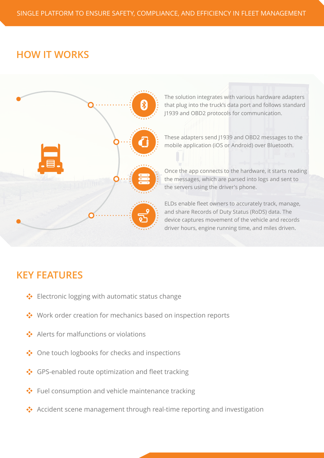Alerts for malfunctions or violations 

◆ One touch logbooks for checks and inspections

### GPS-enabled route optimization and fleet tracking

### ◆ Fuel consumption and vehicle maintenance tracking

### ◆ Accident scene management through real-time reporting and investigation

Once the app connects to the hardware, it starts reading the messages, which are parsed into logs and sent to the servers using the driver's phone.

### **KEY FEATURES**

◆ Electronic logging with automatic status change

◆ Work order creation for mechanics based on inspection reports

## **HOW IT WORKS**

![](_page_2_Figure_2.jpeg)

The solution integrates with various hardware adapters that plug into the truck's data port and follows standard J1939 and OBD2 protocols for communication.

![](_page_2_Figure_4.jpeg)

These adapters send J1939 and OBD2 messages to the mobile application (iOS or Android) over Bluetooth.

ELDs enable fleet owners to accurately track, manage, and share Records of Duty Status (RoDS) data. The device captures movement of the vehicle and records driver hours, engine running time, and miles driven.

### SINGLE PLATFORM TO ENSURE SAFETY, COMPLIANCE, AND EFFICIENCY IN FLEET MANAGEMENT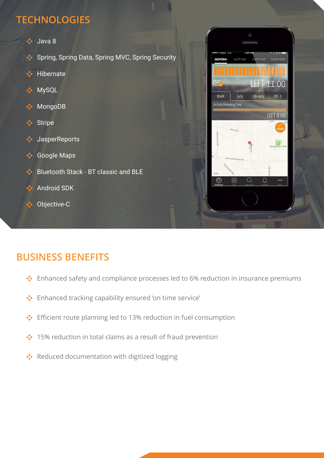![](_page_3_Picture_1.jpeg)

### Spring, Spring Data, Spring MVC, Spring Security

![](_page_3_Picture_3.jpeg)

![](_page_3_Picture_4.jpeg)

![](_page_3_Picture_5.jpeg)

![](_page_3_Picture_6.jpeg)

![](_page_3_Picture_7.jpeg)

Spring Shystems Rd

菌

 $\bigcirc$ 

*<u>Chain Khain Park</u>* 

 $...$ 

![](_page_3_Picture_9.jpeg)

### Google Maps

![](_page_3_Picture_11.jpeg)

![](_page_3_Picture_12.jpeg)

## **TECHNOLOGIES**

Enhanced tracking capability ensured 'on time service'

◆ Efficient route planning led to 13% reduction in fuel consumption

◆ 15% reduction in total claims as a result of fraud prevention

 $\cdot$  Reduced documentation with digitized logging

## **BUSINESS BENEFITS**

◆ Enhanced safety and compliance processes led to 6% reduction in insurance premiums